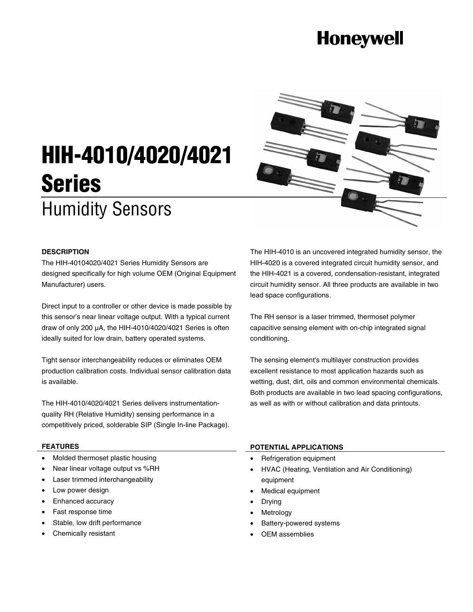# **Honeywell**



# Humidity Sensors



### **DESCRIPTION**

The HIH-40104020/4021 Series Humidity Sensors are designed specifically for high volume OEM (Original Equipment Manufacturer) users.

Direct input to a controller or other device is made possible by this sensor's near linear voltage output. With a typical current draw of only 200 µA, the HIH-4010/4020/4021 Series is often ideally suited for low drain, battery operated systems.

Tight sensor interchangeability reduces or eliminates OEM production calibration costs. Individual sensor calibration data is available.

The HIH-4010/4020/4021 Series delivers instrumentationquality RH (Relative Humidity) sensing performance in a competitively priced, solderable SIP (Single In-line Package).

#### **FEATURES**

- Molded thermoset plastic housing
- Near linear voltage output vs %RH
- Laser trimmed interchangeability
- Low power design
- Enhanced accuracy
- Fast response time
- Stable, low drift performance
- Chemically resistant

The HIH-4010 is an uncovered integrated humidity sensor, the HIH-4020 is a covered integrated circuit humidity sensor, and the HIH-4021 is a covered, condensation-resistant, integrated circuit humidity sensor. All three products are available in two lead space configurations.

The RH sensor is a laser trimmed, thermoset polymer capacitive sensing element with on-chip integrated signal conditioning.

The sensing element's multilayer construction provides excellent resistance to most application hazards such as wetting, dust, dirt, oils and common environmental chemicals. Both products are available in two lead spacing configurations, as well as with or without calibration and data printouts.

### **POTENTIAL APPLICATIONS**

- Refrigeration equipment
- HVAC (Heating, Ventilation and Air Conditioning) equipment
- Medical equipment
- Drying
- **Metrology**
- Battery-powered systems
- OEM assemblies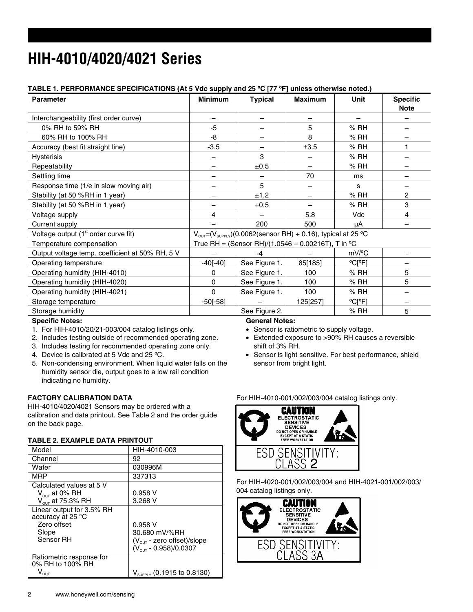## **HIH-4010/4020/4021 Series**

### **TABLE 1. PERFORMANCE SPECIFICATIONS (At 5 Vdc supply and 25 ºC [77 ºF] unless otherwise noted.)**

| <b>Parameter</b>                                 | <b>Minimum</b>                                                                              | <b>Typical</b> | <b>Maximum</b>           | <b>Unit</b> | <b>Specific</b><br><b>Note</b> |
|--------------------------------------------------|---------------------------------------------------------------------------------------------|----------------|--------------------------|-------------|--------------------------------|
| Interchangeability (first order curve)           | -                                                                                           |                |                          |             |                                |
| 0% RH to 59% RH                                  | $-5$                                                                                        |                | 5                        | % RH        |                                |
| 60% RH to 100% RH                                | -8                                                                                          |                | 8                        | % RH        |                                |
| Accuracy (best fit straight line)                | $-3.5$                                                                                      |                | $+3.5$                   | % RH        |                                |
| <b>Hysterisis</b>                                |                                                                                             | 3              |                          | % RH        |                                |
| Repeatability                                    | -                                                                                           | ±0.5           | $\overline{\phantom{m}}$ | %RH         |                                |
| Settling time                                    | -                                                                                           |                | 70                       | ms          |                                |
| Response time (1/e in slow moving air)           |                                                                                             | 5              |                          | s           |                                |
| Stability (at 50 %RH in 1 year)                  |                                                                                             | ±1.2           |                          | %RH         | 2                              |
| Stability (at 50 %RH in 1 year)                  |                                                                                             | ±0.5           |                          | % RH        | 3                              |
| Voltage supply                                   | 4                                                                                           |                | 5.8                      | Vdc         | $\overline{4}$                 |
| Current supply                                   |                                                                                             | 200            | 500                      | μA          |                                |
| Voltage output (1 <sup>st</sup> order curve fit) | $V_{\text{OUT}} = (V_{\text{SUPPLY}})(0.0062 \text{(sensor RH)} + 0.16)$ , typical at 25 °C |                |                          |             |                                |
| Temperature compensation                         | True RH = (Sensor RH)/(1.0546 - 0.00216T), T in $^{\circ}$ C                                |                |                          |             |                                |
| Output voltage temp. coefficient at 50% RH, 5 V  |                                                                                             | -4             |                          | mV/°C       |                                |
| Operating temperature                            | $-40[-40]$                                                                                  | See Figure 1.  | 85[185]                  | °C[°F]      |                                |
| Operating humidity (HIH-4010)                    | 0                                                                                           | See Figure 1.  | 100                      | % RH        | 5                              |
| Operating humidity (HIH-4020)                    | 0                                                                                           | See Figure 1.  | 100                      | % RH        | 5                              |
| Operating humidity (HIH-4021)                    | 0                                                                                           | See Figure 1.  | 100                      | % RH        |                                |
| Storage temperature                              | $-50[-58]$                                                                                  |                | 125[257]                 | °C[°F]      |                                |
| Storage humidity                                 |                                                                                             | See Figure 2.  |                          | % RH        | 5                              |

### **Specific Notes:**

- 1. For HIH-4010/20/21-003/004 catalog listings only.
- 2. Includes testing outside of recommended operating zone.
- 3. Includes testing for recommended operating zone only.
- 4. Device is calibrated at 5 Vdc and 25 ºC.
- 5. Non-condensing environment. When liquid water falls on the humidity sensor die, output goes to a low rail condition indicating no humidity.

### **FACTORY CALIBRATION DATA**

HIH-4010/4020/4021 Sensors may be ordered with a calibration and data printout. See Table 2 and the order guide on the back page.

### **TABLE 2. EXAMPLE DATA PRINTOUT**

| SPLL 4. LAAMFLL DATA FRII                                                             |                                                                                                               |  |  |  |
|---------------------------------------------------------------------------------------|---------------------------------------------------------------------------------------------------------------|--|--|--|
| Model                                                                                 | HIH-4010-003                                                                                                  |  |  |  |
| Channel                                                                               | 92                                                                                                            |  |  |  |
| Wafer                                                                                 | 030996M                                                                                                       |  |  |  |
| <b>MRP</b>                                                                            | 337313                                                                                                        |  |  |  |
| Calculated values at 5 V<br>$V_{\text{out}}$ at 0% RH<br>$V_{\text{out}}$ at 75.3% RH | 0.958V<br>3.268V                                                                                              |  |  |  |
| Linear output for 3.5% RH<br>accuracy at 25 °C<br>Zero offset<br>Slope<br>Sensor RH   | 0.958V<br>30.680 mV/%RH<br>$(V_{\text{OUT}} - \text{zero offset})/\text{slope}$<br>$(V_{OUT} - 0.958)/0.0307$ |  |  |  |
| Ratiometric response for<br>0% RH to 100% RH<br>$V_{\text{OUT}}$                      | $V_{SUPPLY}$ (0.1915 to 0.8130)                                                                               |  |  |  |

### **General Notes:**

- Sensor is ratiometric to supply voltage.
- Extended exposure to >90% RH causes a reversible shift of 3% RH.
- Sensor is light sensitive. For best performance, shield sensor from bright light.

For HIH-4010-001/002/003/004 catalog listings only.



For HIH-4020-001/002/003/004 and HIH-4021-001/002/003/ 004 catalog listings only.

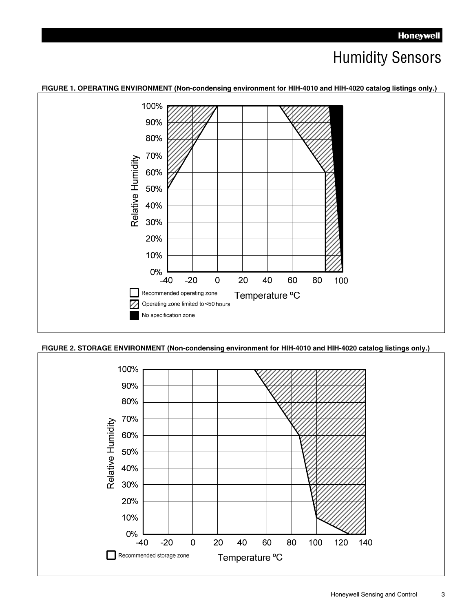### Humidity Sensors



**FIGURE 1. OPERATING ENVIRONMENT (Non-condensing environment for HIH-4010 and HIH-4020 catalog listings only.)**

### **FIGURE 2. STORAGE ENVIRONMENT (Non-condensing environment for HIH-4010 and HIH-4020 catalog listings only.)**

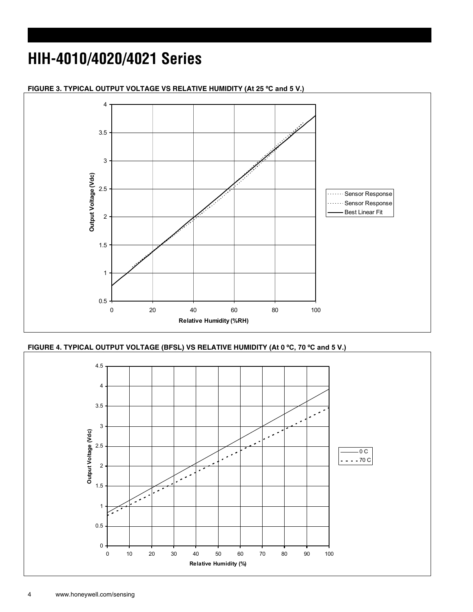### **HIH-4010/4020/4021 Series**



**FIGURE 3. TYPICAL OUTPUT VOLTAGE VS RELATIVE HUMIDITY (At 25 ºC and 5 V.)**



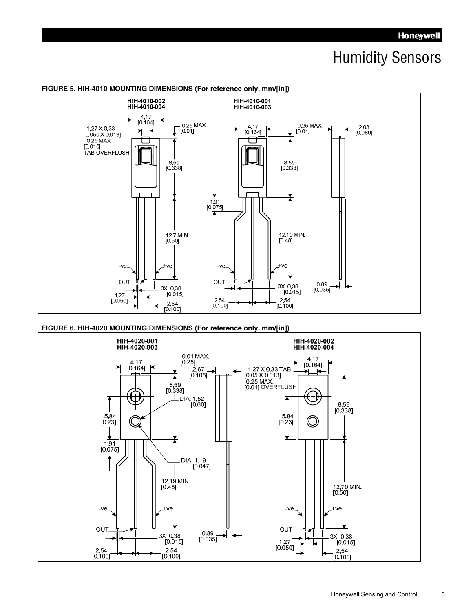### Humidity Sensors



**FIGURE 5. HIH-4010 MOUNTING DIMENSIONS (For reference only. mm/[in])** 



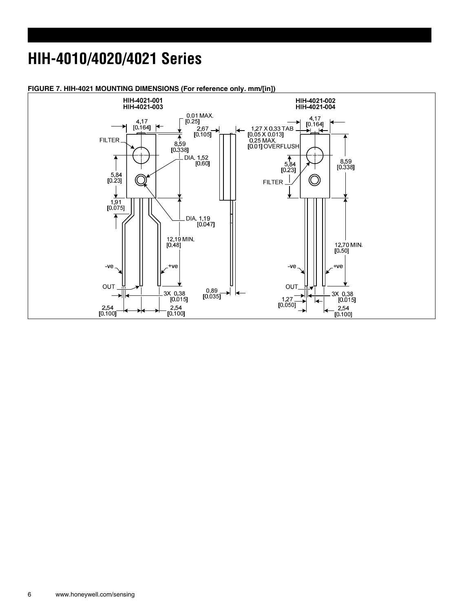## **HIH-4010/4020/4021 Series**

#### HIH-4021-001<br>HIH-4021-003 HIH-4021-002<br>HIH-4021-004 0,01 MAX<br>[0.25]  $4,17$ <br>[0.164]  $4,17$ <br>[0.164]  $\leftarrow$ \_\_\_<br>\_\_ 2,67<br>[0.105] ∣∢  $[0.105]$   $[0.105]$   $[0.338]$   $[0.338]$   $[0.4, 1.52]$   $[0.60]$ **FILTER**  $\begin{array}{c} \overline{1} \\ 5,84 \\ [0.23] \end{array}$ ↑  $\begin{array}{c} 8,59 \\ \textbf{[0.338]} \end{array}$  $5,84$ <br>[0.23]  $\circledcirc$  $\overline{\mathbb{Q}}$ **FILTER** J ⊻  $1,91$ <br>[0.075]  $\overline{P}$ DIA. 1,19<br>[0.047] 12,19 MIN. 12,70 MIN<br>[0.50]  $[0.48]$  $-ve$ +ve  $-ve$ ve OUT OUT.  $\begin{array}{c} 0.89 \\ 0.035 \end{array}$ 3X 0,38<br>[0.015] 3X 0,38<br>[0.015]  $1,27$ <br>[0.050]  $\left| \right. \leftarrow$ -<br>| 2,54<br>|0.100]  $\frac{2,54}{[0.100]}$ -<br>- 2,54<br>[0.100]

#### **FIGURE 7. HIH-4021 MOUNTING DIMENSIONS (For reference only. mm/[in])**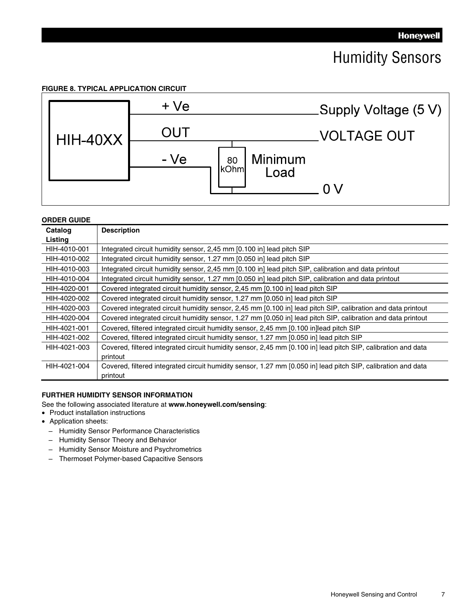### Humidity Sensors

**FIGURE 8. TYPICAL APPLICATION CIRCUIT** 



#### **ORDER GUIDE**

| Catalog<br>Listing | <b>Description</b>                                                                                                        |
|--------------------|---------------------------------------------------------------------------------------------------------------------------|
| HIH-4010-001       | Integrated circuit humidity sensor, 2,45 mm [0.100 in] lead pitch SIP                                                     |
| HIH-4010-002       | Integrated circuit humidity sensor, 1.27 mm [0.050 in] lead pitch SIP                                                     |
| HIH-4010-003       | Integrated circuit humidity sensor, 2,45 mm [0.100 in] lead pitch SIP, calibration and data printout                      |
| HIH-4010-004       | Integrated circuit humidity sensor, 1.27 mm [0.050 in] lead pitch SIP, calibration and data printout                      |
| HIH-4020-001       | Covered integrated circuit humidity sensor, 2,45 mm [0.100 in] lead pitch SIP                                             |
| HIH-4020-002       | Covered integrated circuit humidity sensor, 1.27 mm [0.050 in] lead pitch SIP                                             |
| HIH-4020-003       | Covered integrated circuit humidity sensor, 2,45 mm [0.100 in] lead pitch SIP, calibration and data printout              |
| HIH-4020-004       | Covered integrated circuit humidity sensor, 1.27 mm [0.050 in] lead pitch SIP, calibration and data printout              |
| HIH-4021-001       | Covered, filtered integrated circuit humidity sensor, 2,45 mm [0.100 in]lead pitch SIP                                    |
| HIH-4021-002       | Covered, filtered integrated circuit humidity sensor, 1.27 mm [0.050 in] lead pitch SIP                                   |
| HIH-4021-003       | Covered, filtered integrated circuit humidity sensor, 2,45 mm [0.100 in] lead pitch SIP, calibration and data<br>printout |
| HIH-4021-004       | Covered, filtered integrated circuit humidity sensor, 1.27 mm [0.050 in] lead pitch SIP, calibration and data<br>printout |

### **FURTHER HUMIDITY SENSOR INFORMATION**

See the following associated literature at **www.honeywell.com/sensing**:

- Product installation instructions
- Application sheets:
	- Humidity Sensor Performance Characteristics
	- Humidity Sensor Theory and Behavior
	- Humidity Sensor Moisture and Psychrometrics
	- Thermoset Polymer-based Capacitive Sensors